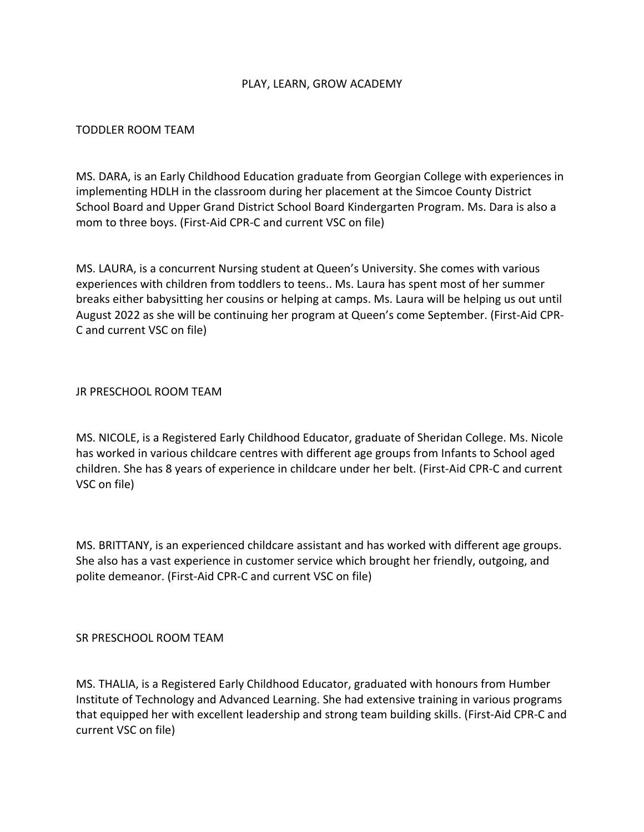## PLAY, LEARN, GROW ACADEMY

## TODDLER ROOM TEAM

MS. DARA, is an Early Childhood Education graduate from Georgian College with experiences in implementing HDLH in the classroom during her placement at the Simcoe County District School Board and Upper Grand District School Board Kindergarten Program. Ms. Dara is also a mom to three boys. (First-Aid CPR-C and current VSC on file)

MS. LAURA, is a concurrent Nursing student at Queen's University. She comes with various experiences with children from toddlers to teens.. Ms. Laura has spent most of her summer breaks either babysitting her cousins or helping at camps. Ms. Laura will be helping us out until August 2022 as she will be continuing her program at Queen's come September. (First-Aid CPR-C and current VSC on file)

#### JR PRESCHOOL ROOM TEAM

MS. NICOLE, is a Registered Early Childhood Educator, graduate of Sheridan College. Ms. Nicole has worked in various childcare centres with different age groups from Infants to School aged children. She has 8 years of experience in childcare under her belt. (First-Aid CPR-C and current VSC on file)

MS. BRITTANY, is an experienced childcare assistant and has worked with different age groups. She also has a vast experience in customer service which brought her friendly, outgoing, and polite demeanor. (First-Aid CPR-C and current VSC on file)

## SR PRESCHOOL ROOM TEAM

MS. THALIA, is a Registered Early Childhood Educator, graduated with honours from Humber Institute of Technology and Advanced Learning. She had extensive training in various programs that equipped her with excellent leadership and strong team building skills. (First-Aid CPR-C and current VSC on file)